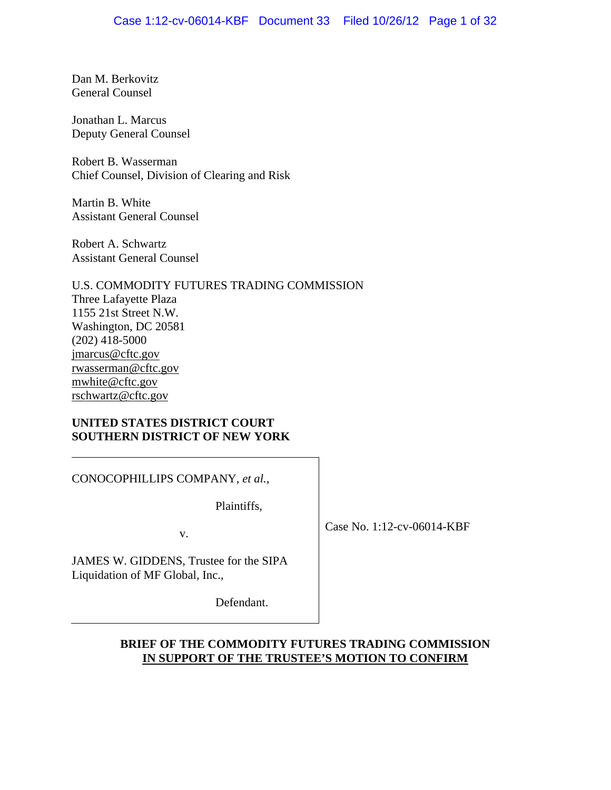Dan M. Berkovitz General Counsel

Jonathan L. Marcus Deputy General Counsel

Robert B. Wasserman Chief Counsel, Division of Clearing and Risk

Martin B. White Assistant General Counsel

Robert A. Schwartz Assistant General Counsel

U.S. COMMODITY FUTURES TRADING COMMISSION Three Lafayette Plaza 1155 21st Street N.W. Washington, DC 20581 (202) 418-5000 jmarcus@cftc.gov rwasserman@cftc.gov mwhite@cftc.gov rschwartz@cftc.gov

### **UNITED STATES DISTRICT COURT SOUTHERN DISTRICT OF NEW YORK**

CONOCOPHILLIPS COMPANY, *et al.*,

Plaintiffs,

v.

Case No. 1:12-cv-06014-KBF

JAMES W. GIDDENS, Trustee for the SIPA Liquidation of MF Global, Inc.,

Defendant.

# **BRIEF OF THE COMMODITY FUTURES TRADING COMMISSION IN SUPPORT OF THE TRUSTEE'S MOTION TO CONFIRM**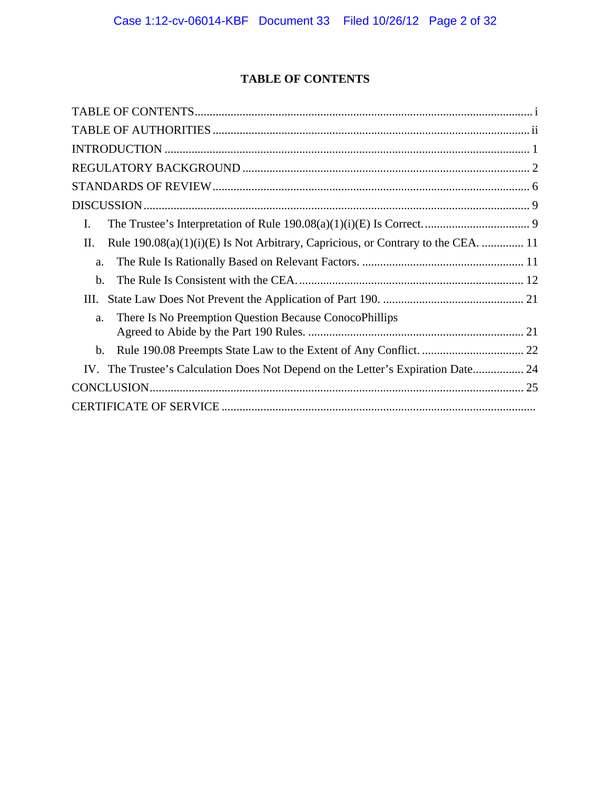# **TABLE OF CONTENTS**

| I.                                                                                        |
|-------------------------------------------------------------------------------------------|
| Rule $190.08(a)(1)(i)(E)$ Is Not Arbitrary, Capricious, or Contrary to the CEA.  11<br>П. |
| a.                                                                                        |
| b.                                                                                        |
| Ш.                                                                                        |
| There Is No Preemption Question Because ConocoPhillips<br>a.                              |
| b.                                                                                        |
| IV. The Trustee's Calculation Does Not Depend on the Letter's Expiration Date 24          |
|                                                                                           |
|                                                                                           |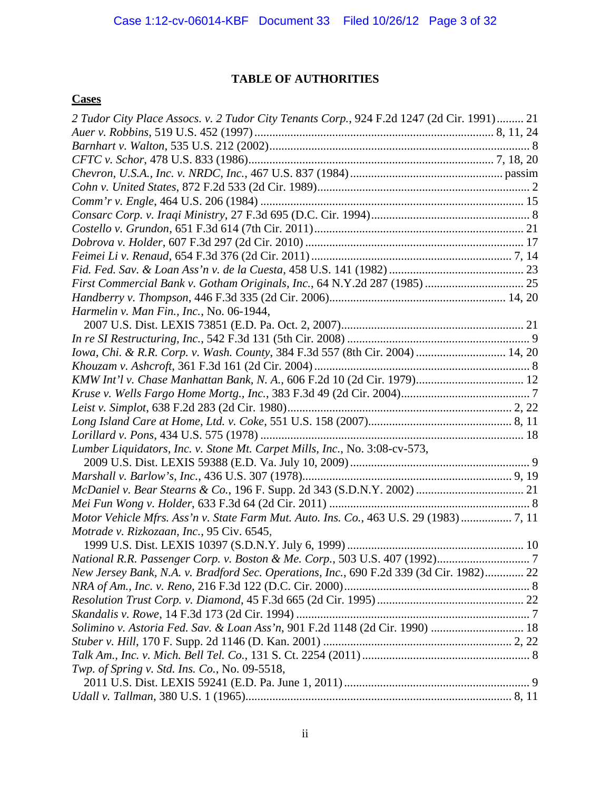# **TABLE OF AUTHORITIES**

# **Cases**

| 2 Tudor City Place Assocs. v. 2 Tudor City Tenants Corp., 924 F.2d 1247 (2d Cir. 1991) 21 |
|-------------------------------------------------------------------------------------------|
|                                                                                           |
|                                                                                           |
|                                                                                           |
|                                                                                           |
|                                                                                           |
|                                                                                           |
|                                                                                           |
|                                                                                           |
|                                                                                           |
|                                                                                           |
|                                                                                           |
|                                                                                           |
|                                                                                           |
| Harmelin v. Man Fin., Inc., No. 06-1944,                                                  |
|                                                                                           |
|                                                                                           |
| Iowa, Chi. & R.R. Corp. v. Wash. County, 384 F.3d 557 (8th Cir. 2004)  14, 20             |
|                                                                                           |
|                                                                                           |
|                                                                                           |
|                                                                                           |
|                                                                                           |
|                                                                                           |
| Lumber Liquidators, Inc. v. Stone Mt. Carpet Mills, Inc., No. 3:08-cv-573,                |
|                                                                                           |
|                                                                                           |
|                                                                                           |
|                                                                                           |
| Motor Vehicle Mfrs. Ass'n v. State Farm Mut. Auto. Ins. Co., 463 U.S. 29 (1983)  7, 11    |
| Motrade v. Rizkozaan, Inc., 95 Civ. 6545,                                                 |
|                                                                                           |
|                                                                                           |
| New Jersey Bank, N.A. v. Bradford Sec. Operations, Inc., 690 F.2d 339 (3d Cir. 1982) 22   |
|                                                                                           |
|                                                                                           |
|                                                                                           |
| Solimino v. Astoria Fed. Sav. & Loan Ass'n, 901 F.2d 1148 (2d Cir. 1990)  18              |
|                                                                                           |
|                                                                                           |
| Twp. of Spring v. Std. Ins. Co., No. 09-5518,                                             |
|                                                                                           |
|                                                                                           |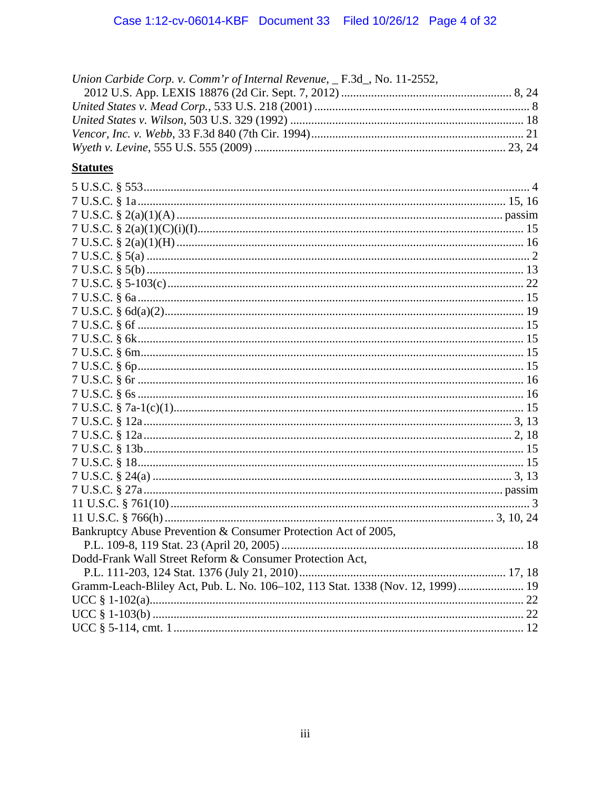| Union Carbide Corp. v. Comm'r of Internal Revenue, _F.3d_, No. 11-2552, |  |
|-------------------------------------------------------------------------|--|
|                                                                         |  |
|                                                                         |  |
|                                                                         |  |
|                                                                         |  |
|                                                                         |  |

# **Statutes**

| Bankruptcy Abuse Prevention & Consumer Protection Act of 2005,                 |  |
|--------------------------------------------------------------------------------|--|
|                                                                                |  |
| Dodd-Frank Wall Street Reform & Consumer Protection Act,                       |  |
|                                                                                |  |
| Gramm-Leach-Bliley Act, Pub. L. No. 106-102, 113 Stat. 1338 (Nov. 12, 1999) 19 |  |
|                                                                                |  |
|                                                                                |  |
|                                                                                |  |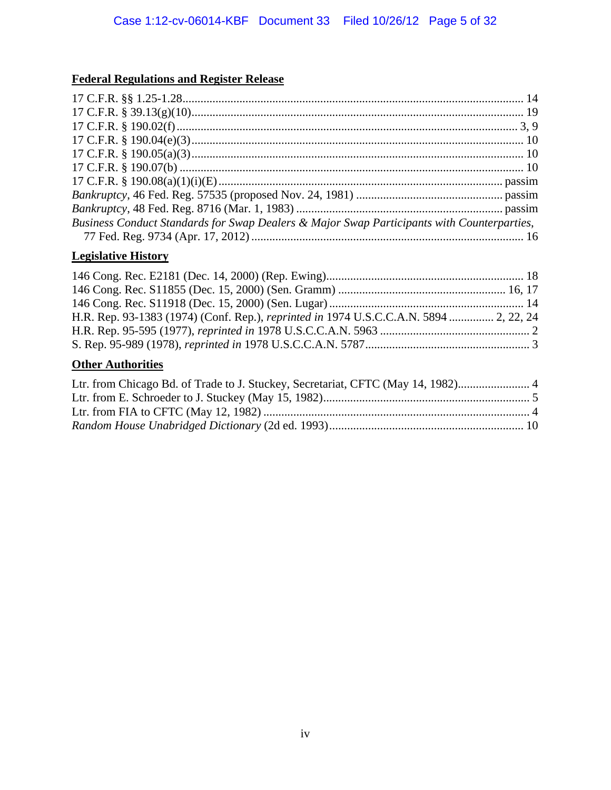# **Federal Regulations and Register Release**

| Business Conduct Standards for Swap Dealers & Major Swap Participants with Counterparties, |  |
|--------------------------------------------------------------------------------------------|--|
|                                                                                            |  |

# **Legislative History**

| H.R. Rep. 93-1383 (1974) (Conf. Rep.), reprinted in 1974 U.S.C.C.A.N. 5894  2, 22, 24 |  |
|---------------------------------------------------------------------------------------|--|
|                                                                                       |  |
|                                                                                       |  |

# **Other Authorities**

| Ltr. from Chicago Bd. of Trade to J. Stuckey, Secretariat, CFTC (May 14, 1982) |  |
|--------------------------------------------------------------------------------|--|
|                                                                                |  |
|                                                                                |  |
|                                                                                |  |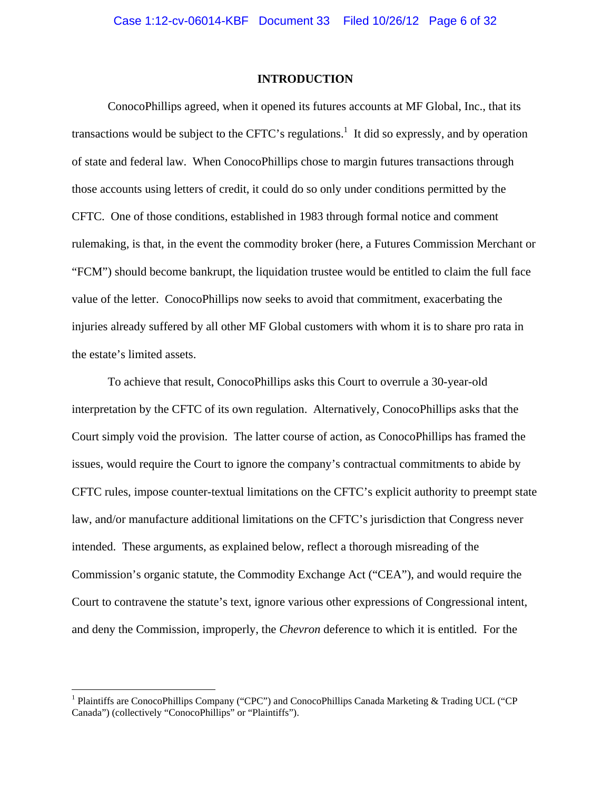### **INTRODUCTION**

ConocoPhillips agreed, when it opened its futures accounts at MF Global, Inc., that its transactions would be subject to the CFTC's regulations.<sup>1</sup> It did so expressly, and by operation of state and federal law. When ConocoPhillips chose to margin futures transactions through those accounts using letters of credit, it could do so only under conditions permitted by the CFTC. One of those conditions, established in 1983 through formal notice and comment rulemaking, is that, in the event the commodity broker (here, a Futures Commission Merchant or "FCM") should become bankrupt, the liquidation trustee would be entitled to claim the full face value of the letter. ConocoPhillips now seeks to avoid that commitment, exacerbating the injuries already suffered by all other MF Global customers with whom it is to share pro rata in the estate's limited assets.

To achieve that result, ConocoPhillips asks this Court to overrule a 30-year-old interpretation by the CFTC of its own regulation. Alternatively, ConocoPhillips asks that the Court simply void the provision. The latter course of action, as ConocoPhillips has framed the issues, would require the Court to ignore the company's contractual commitments to abide by CFTC rules, impose counter-textual limitations on the CFTC's explicit authority to preempt state law, and/or manufacture additional limitations on the CFTC's jurisdiction that Congress never intended. These arguments, as explained below, reflect a thorough misreading of the Commission's organic statute, the Commodity Exchange Act ("CEA"), and would require the Court to contravene the statute's text, ignore various other expressions of Congressional intent, and deny the Commission, improperly, the *Chevron* deference to which it is entitled. For the

 $\overline{a}$ 

<sup>&</sup>lt;sup>1</sup> Plaintiffs are ConocoPhillips Company ("CPC") and ConocoPhillips Canada Marketing & Trading UCL ("CP Canada") (collectively "ConocoPhillips" or "Plaintiffs").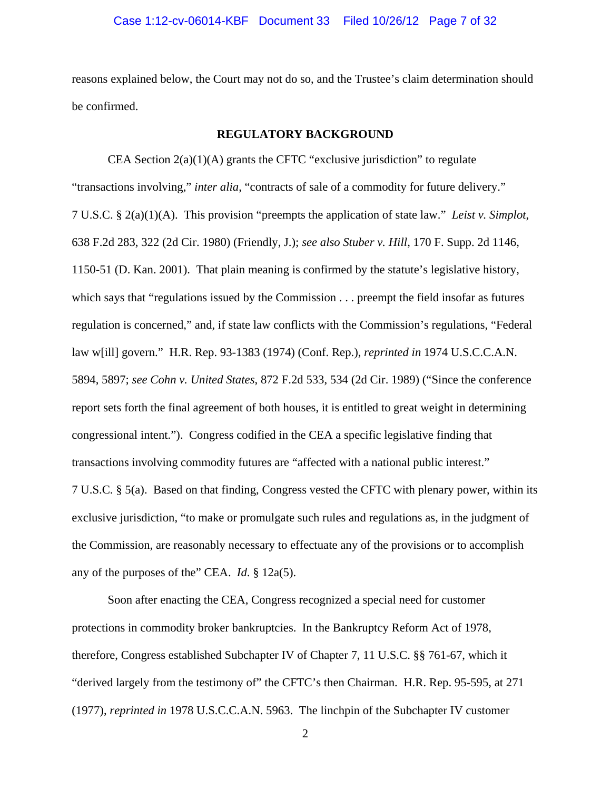### Case 1:12-cv-06014-KBF Document 33 Filed 10/26/12 Page 7 of 32

reasons explained below, the Court may not do so, and the Trustee's claim determination should be confirmed.

### **REGULATORY BACKGROUND**

 CEA Section 2(a)(1)(A) grants the CFTC "exclusive jurisdiction" to regulate "transactions involving," *inter alia*, "contracts of sale of a commodity for future delivery." 7 U.S.C. § 2(a)(1)(A). This provision "preempts the application of state law." *Leist v. Simplot*, 638 F.2d 283, 322 (2d Cir. 1980) (Friendly, J.); *see also Stuber v. Hill*, 170 F. Supp. 2d 1146, 1150-51 (D. Kan. 2001). That plain meaning is confirmed by the statute's legislative history, which says that "regulations issued by the Commission . . . preempt the field insofar as futures regulation is concerned," and, if state law conflicts with the Commission's regulations, "Federal law w[ill] govern." H.R. Rep. 93-1383 (1974) (Conf. Rep.), *reprinted in* 1974 U.S.C.C.A.N. 5894, 5897; *see Cohn v. United States*, 872 F.2d 533, 534 (2d Cir. 1989) ("Since the conference report sets forth the final agreement of both houses, it is entitled to great weight in determining congressional intent."). Congress codified in the CEA a specific legislative finding that transactions involving commodity futures are "affected with a national public interest." 7 U.S.C. § 5(a). Based on that finding, Congress vested the CFTC with plenary power, within its exclusive jurisdiction, "to make or promulgate such rules and regulations as, in the judgment of the Commission, are reasonably necessary to effectuate any of the provisions or to accomplish any of the purposes of the" CEA. *Id*. § 12a(5).

Soon after enacting the CEA, Congress recognized a special need for customer protections in commodity broker bankruptcies. In the Bankruptcy Reform Act of 1978, therefore, Congress established Subchapter IV of Chapter 7, 11 U.S.C. §§ 761-67, which it "derived largely from the testimony of" the CFTC's then Chairman. H.R. Rep. 95-595, at 271 (1977), *reprinted in* 1978 U.S.C.C.A.N. 5963. The linchpin of the Subchapter IV customer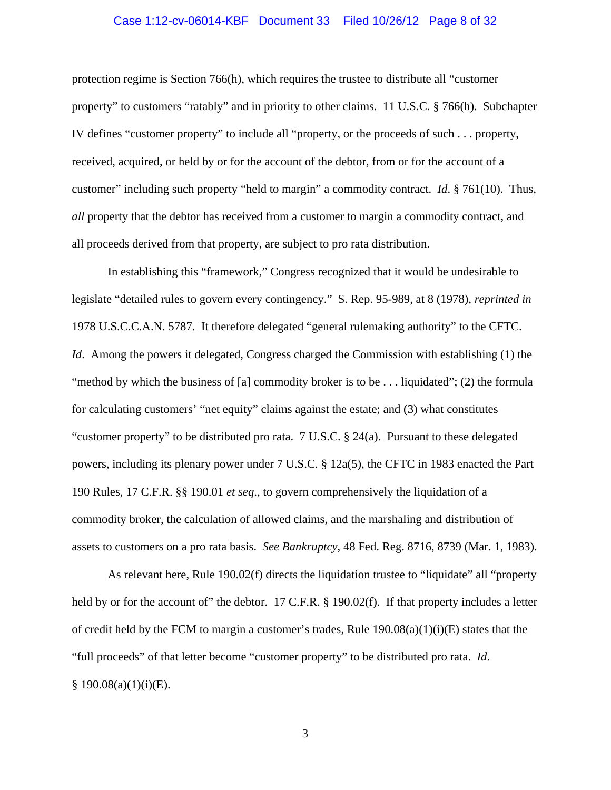### Case 1:12-cv-06014-KBF Document 33 Filed 10/26/12 Page 8 of 32

protection regime is Section 766(h), which requires the trustee to distribute all "customer property" to customers "ratably" and in priority to other claims. 11 U.S.C. § 766(h). Subchapter IV defines "customer property" to include all "property, or the proceeds of such . . . property, received, acquired, or held by or for the account of the debtor, from or for the account of a customer" including such property "held to margin" a commodity contract. *Id*. § 761(10). Thus, *all* property that the debtor has received from a customer to margin a commodity contract, and all proceeds derived from that property, are subject to pro rata distribution.

In establishing this "framework," Congress recognized that it would be undesirable to legislate "detailed rules to govern every contingency." S. Rep. 95-989, at 8 (1978), *reprinted in*  1978 U.S.C.C.A.N. 5787. It therefore delegated "general rulemaking authority" to the CFTC. *Id.* Among the powers it delegated, Congress charged the Commission with establishing (1) the "method by which the business of [a] commodity broker is to be  $\dots$  liquidated"; (2) the formula for calculating customers' "net equity" claims against the estate; and (3) what constitutes "customer property" to be distributed pro rata. 7 U.S.C. § 24(a). Pursuant to these delegated powers, including its plenary power under 7 U.S.C. § 12a(5), the CFTC in 1983 enacted the Part 190 Rules, 17 C.F.R. §§ 190.01 *et seq*., to govern comprehensively the liquidation of a commodity broker, the calculation of allowed claims, and the marshaling and distribution of assets to customers on a pro rata basis. *See Bankruptcy*, 48 Fed. Reg. 8716, 8739 (Mar. 1, 1983).

As relevant here, Rule 190.02(f) directs the liquidation trustee to "liquidate" all "property held by or for the account of" the debtor. 17 C.F.R. § 190.02(f). If that property includes a letter of credit held by the FCM to margin a customer's trades, Rule  $190.08(a)(1)(i)(E)$  states that the "full proceeds" of that letter become "customer property" to be distributed pro rata. *Id*.  $§ 190.08(a)(1)(i)(E).$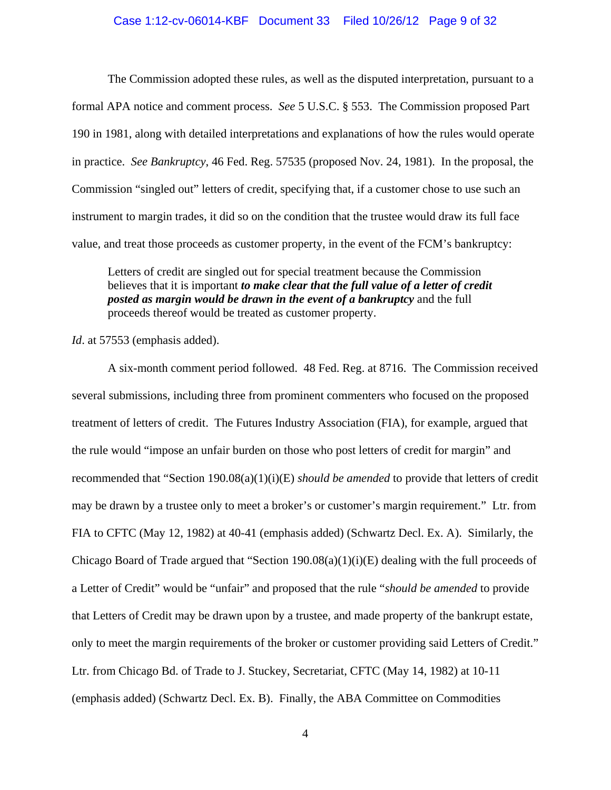### Case 1:12-cv-06014-KBF Document 33 Filed 10/26/12 Page 9 of 32

The Commission adopted these rules, as well as the disputed interpretation, pursuant to a formal APA notice and comment process. *See* 5 U.S.C. § 553. The Commission proposed Part 190 in 1981, along with detailed interpretations and explanations of how the rules would operate in practice. *See Bankruptcy*, 46 Fed. Reg. 57535 (proposed Nov. 24, 1981). In the proposal, the Commission "singled out" letters of credit, specifying that, if a customer chose to use such an instrument to margin trades, it did so on the condition that the trustee would draw its full face value, and treat those proceeds as customer property, in the event of the FCM's bankruptcy:

Letters of credit are singled out for special treatment because the Commission believes that it is important *to make clear that the full value of a letter of credit posted as margin would be drawn in the event of a bankruptcy* and the full proceeds thereof would be treated as customer property.

*Id*. at 57553 (emphasis added).

 A six-month comment period followed. 48 Fed. Reg. at 8716. The Commission received several submissions, including three from prominent commenters who focused on the proposed treatment of letters of credit. The Futures Industry Association (FIA), for example, argued that the rule would "impose an unfair burden on those who post letters of credit for margin" and recommended that "Section 190.08(a)(1)(i)(E) *should be amended* to provide that letters of credit may be drawn by a trustee only to meet a broker's or customer's margin requirement." Ltr. from FIA to CFTC (May 12, 1982) at 40-41 (emphasis added) (Schwartz Decl. Ex. A). Similarly, the Chicago Board of Trade argued that "Section 190.08(a)(1)(i)(E) dealing with the full proceeds of a Letter of Credit" would be "unfair" and proposed that the rule "*should be amended* to provide that Letters of Credit may be drawn upon by a trustee, and made property of the bankrupt estate, only to meet the margin requirements of the broker or customer providing said Letters of Credit." Ltr. from Chicago Bd. of Trade to J. Stuckey, Secretariat, CFTC (May 14, 1982) at 10-11 (emphasis added) (Schwartz Decl. Ex. B). Finally, the ABA Committee on Commodities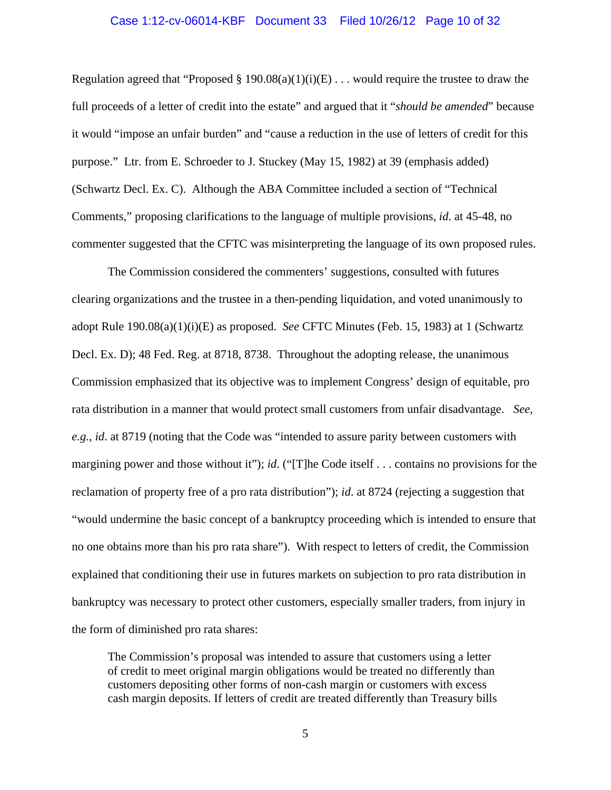# Case 1:12-cv-06014-KBF Document 33 Filed 10/26/12 Page 10 of 32

Regulation agreed that "Proposed § 190.08(a)(1)(i)(E) . . . would require the trustee to draw the full proceeds of a letter of credit into the estate" and argued that it "*should be amended*" because it would "impose an unfair burden" and "cause a reduction in the use of letters of credit for this purpose." Ltr. from E. Schroeder to J. Stuckey (May 15, 1982) at 39 (emphasis added) (Schwartz Decl. Ex. C). Although the ABA Committee included a section of "Technical Comments," proposing clarifications to the language of multiple provisions, *id*. at 45-48, no commenter suggested that the CFTC was misinterpreting the language of its own proposed rules.

 The Commission considered the commenters' suggestions, consulted with futures clearing organizations and the trustee in a then-pending liquidation, and voted unanimously to adopt Rule 190.08(a)(1)(i)(E) as proposed. *See* CFTC Minutes (Feb. 15, 1983) at 1 (Schwartz Decl. Ex. D); 48 Fed. Reg. at 8718, 8738. Throughout the adopting release, the unanimous Commission emphasized that its objective was to implement Congress' design of equitable, pro rata distribution in a manner that would protect small customers from unfair disadvantage. *See, e.g.*, *id*. at 8719 (noting that the Code was "intended to assure parity between customers with margining power and those without it"); *id*. ("[T]he Code itself . . . contains no provisions for the reclamation of property free of a pro rata distribution"); *id*. at 8724 (rejecting a suggestion that "would undermine the basic concept of a bankruptcy proceeding which is intended to ensure that no one obtains more than his pro rata share"). With respect to letters of credit, the Commission explained that conditioning their use in futures markets on subjection to pro rata distribution in bankruptcy was necessary to protect other customers, especially smaller traders, from injury in the form of diminished pro rata shares:

The Commission's proposal was intended to assure that customers using a letter of credit to meet original margin obligations would be treated no differently than customers depositing other forms of non-cash margin or customers with excess cash margin deposits. If letters of credit are treated differently than Treasury bills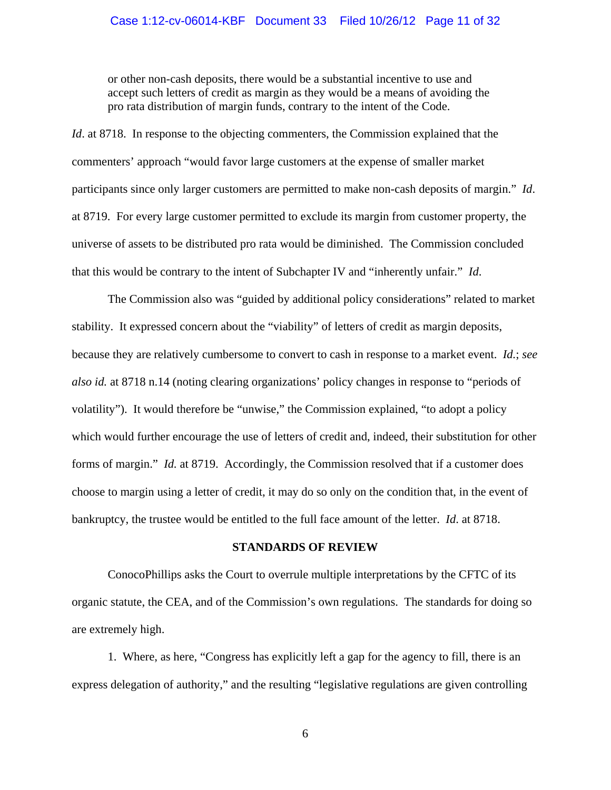or other non-cash deposits, there would be a substantial incentive to use and accept such letters of credit as margin as they would be a means of avoiding the pro rata distribution of margin funds, contrary to the intent of the Code.

*Id.* at 8718. In response to the objecting commenters, the Commission explained that the commenters' approach "would favor large customers at the expense of smaller market participants since only larger customers are permitted to make non-cash deposits of margin." *Id*. at 8719. For every large customer permitted to exclude its margin from customer property, the universe of assets to be distributed pro rata would be diminished. The Commission concluded that this would be contrary to the intent of Subchapter IV and "inherently unfair." *Id*.

 The Commission also was "guided by additional policy considerations" related to market stability. It expressed concern about the "viability" of letters of credit as margin deposits, because they are relatively cumbersome to convert to cash in response to a market event. *Id.*; *see also id.* at 8718 n.14 (noting clearing organizations' policy changes in response to "periods of volatility"). It would therefore be "unwise," the Commission explained, "to adopt a policy which would further encourage the use of letters of credit and, indeed, their substitution for other forms of margin." *Id.* at 8719. Accordingly, the Commission resolved that if a customer does choose to margin using a letter of credit, it may do so only on the condition that, in the event of bankruptcy, the trustee would be entitled to the full face amount of the letter. *Id*. at 8718.

### **STANDARDS OF REVIEW**

 ConocoPhillips asks the Court to overrule multiple interpretations by the CFTC of its organic statute, the CEA, and of the Commission's own regulations. The standards for doing so are extremely high.

1. Where, as here, "Congress has explicitly left a gap for the agency to fill, there is an express delegation of authority," and the resulting "legislative regulations are given controlling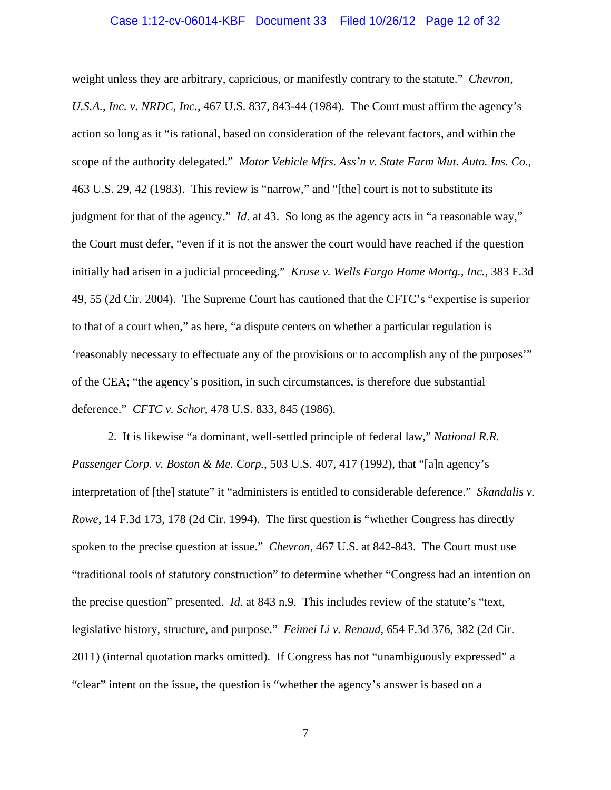### Case 1:12-cv-06014-KBF Document 33 Filed 10/26/12 Page 12 of 32

weight unless they are arbitrary, capricious, or manifestly contrary to the statute." *Chevron, U.S.A., Inc. v. NRDC, Inc.*, 467 U.S. 837, 843-44 (1984). The Court must affirm the agency's action so long as it "is rational, based on consideration of the relevant factors, and within the scope of the authority delegated." *Motor Vehicle Mfrs. Ass'n v. State Farm Mut. Auto. Ins. Co.*, 463 U.S. 29, 42 (1983). This review is "narrow," and "[the] court is not to substitute its judgment for that of the agency." *Id*. at 43. So long as the agency acts in "a reasonable way," the Court must defer, "even if it is not the answer the court would have reached if the question initially had arisen in a judicial proceeding." *Kruse v. Wells Fargo Home Mortg., Inc.*, 383 F.3d 49, 55 (2d Cir. 2004). The Supreme Court has cautioned that the CFTC's "expertise is superior to that of a court when," as here, "a dispute centers on whether a particular regulation is 'reasonably necessary to effectuate any of the provisions or to accomplish any of the purposes'" of the CEA; "the agency's position, in such circumstances, is therefore due substantial deference." *CFTC v. Schor*, 478 U.S. 833, 845 (1986).

2. It is likewise "a dominant, well-settled principle of federal law," *National R.R. Passenger Corp. v. Boston & Me. Corp.*, 503 U.S. 407, 417 (1992), that "[a]n agency's interpretation of [the] statute" it "administers is entitled to considerable deference." *Skandalis v. Rowe*, 14 F.3d 173, 178 (2d Cir. 1994). The first question is "whether Congress has directly spoken to the precise question at issue." *Chevron*, 467 U.S. at 842-843. The Court must use "traditional tools of statutory construction" to determine whether "Congress had an intention on the precise question" presented. *Id.* at 843 n.9. This includes review of the statute's "text, legislative history, structure, and purpose." *Feimei Li v. Renaud*, 654 F.3d 376, 382 (2d Cir. 2011) (internal quotation marks omitted). If Congress has not "unambiguously expressed" a "clear" intent on the issue, the question is "whether the agency's answer is based on a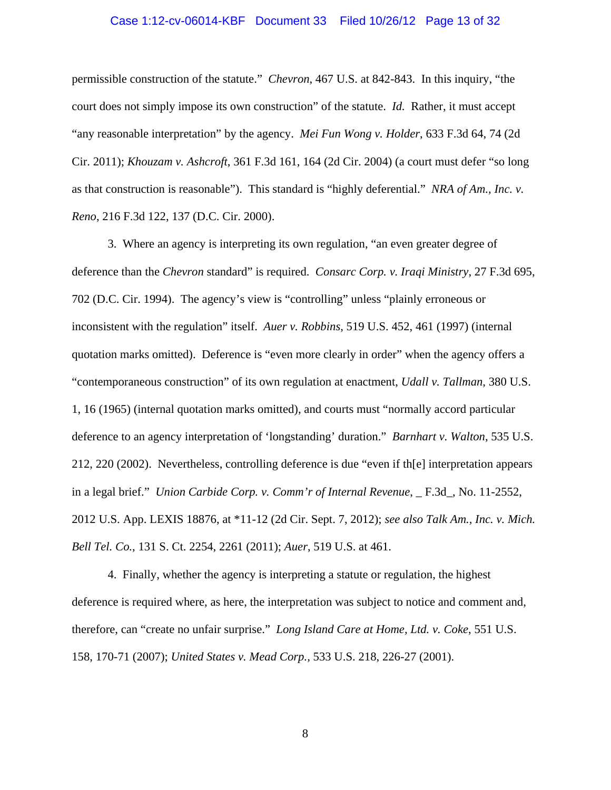### Case 1:12-cv-06014-KBF Document 33 Filed 10/26/12 Page 13 of 32

permissible construction of the statute." *Chevron*, 467 U.S. at 842-843. In this inquiry, "the court does not simply impose its own construction" of the statute. *Id.* Rather, it must accept "any reasonable interpretation" by the agency. *Mei Fun Wong v. Holder*, 633 F.3d 64, 74 (2d Cir. 2011); *Khouzam v. Ashcroft*, 361 F.3d 161, 164 (2d Cir. 2004) (a court must defer "so long as that construction is reasonable"). This standard is "highly deferential." *NRA of Am., Inc. v. Reno*, 216 F.3d 122, 137 (D.C. Cir. 2000).

 3. Where an agency is interpreting its own regulation, "an even greater degree of deference than the *Chevron* standard" is required. *Consarc Corp. v. Iraqi Ministry*, 27 F.3d 695, 702 (D.C. Cir. 1994). The agency's view is "controlling" unless "plainly erroneous or inconsistent with the regulation" itself. *Auer v. Robbins*, 519 U.S. 452, 461 (1997) (internal quotation marks omitted). Deference is "even more clearly in order" when the agency offers a "contemporaneous construction" of its own regulation at enactment, *Udall v. Tallman*, 380 U.S. 1, 16 (1965) (internal quotation marks omitted), and courts must "normally accord particular deference to an agency interpretation of 'longstanding' duration." *Barnhart v. Walton*, 535 U.S. 212, 220 (2002). Nevertheless, controlling deference is due "even if th[e] interpretation appears in a legal brief." *Union Carbide Corp. v. Comm'r of Internal Revenue*, \_ F.3d\_, No. 11-2552, 2012 U.S. App. LEXIS 18876, at \*11-12 (2d Cir. Sept. 7, 2012); *see also Talk Am., Inc. v. Mich. Bell Tel. Co.*, 131 S. Ct. 2254, 2261 (2011); *Auer*, 519 U.S. at 461.

 4. Finally, whether the agency is interpreting a statute or regulation, the highest deference is required where, as here, the interpretation was subject to notice and comment and, therefore, can "create no unfair surprise." *Long Island Care at Home, Ltd. v. Coke*, 551 U.S. 158, 170-71 (2007); *United States v. Mead Corp.,* 533 U.S. 218, 226-27 (2001).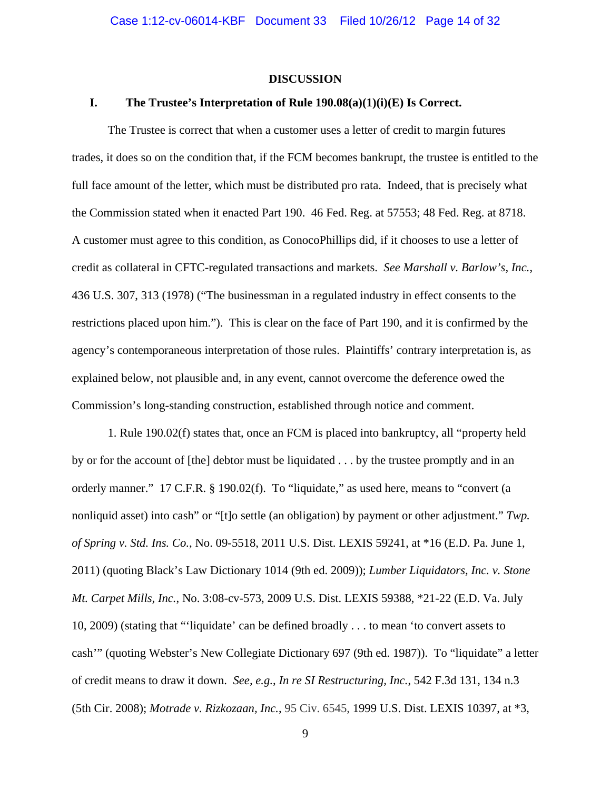#### **DISCUSSION**

### **I. The Trustee's Interpretation of Rule 190.08(a)(1)(i)(E) Is Correct.**

The Trustee is correct that when a customer uses a letter of credit to margin futures trades, it does so on the condition that, if the FCM becomes bankrupt, the trustee is entitled to the full face amount of the letter, which must be distributed pro rata. Indeed, that is precisely what the Commission stated when it enacted Part 190. 46 Fed. Reg. at 57553; 48 Fed. Reg. at 8718. A customer must agree to this condition, as ConocoPhillips did, if it chooses to use a letter of credit as collateral in CFTC-regulated transactions and markets. *See Marshall v. Barlow's, Inc.*, 436 U.S. 307, 313 (1978) ("The businessman in a regulated industry in effect consents to the restrictions placed upon him."). This is clear on the face of Part 190, and it is confirmed by the agency's contemporaneous interpretation of those rules. Plaintiffs' contrary interpretation is, as explained below, not plausible and, in any event, cannot overcome the deference owed the Commission's long-standing construction, established through notice and comment.

1. Rule 190.02(f) states that, once an FCM is placed into bankruptcy, all "property held by or for the account of [the] debtor must be liquidated . . . by the trustee promptly and in an orderly manner." 17 C.F.R. § 190.02(f). To "liquidate," as used here, means to "convert (a nonliquid asset) into cash" or "[t]o settle (an obligation) by payment or other adjustment." *Twp. of Spring v. Std. Ins. Co.*, No. 09-5518, 2011 U.S. Dist. LEXIS 59241, at \*16 (E.D. Pa. June 1, 2011) (quoting Black's Law Dictionary 1014 (9th ed. 2009)); *Lumber Liquidators, Inc. v. Stone Mt. Carpet Mills, Inc.*, No. 3:08-cv-573, 2009 U.S. Dist. LEXIS 59388, \*21-22 (E.D. Va. July 10, 2009) (stating that "'liquidate' can be defined broadly . . . to mean 'to convert assets to cash'" (quoting Webster's New Collegiate Dictionary 697 (9th ed. 1987)). To "liquidate" a letter of credit means to draw it down. *See, e.g.*, *In re SI Restructuring, Inc.*, 542 F.3d 131, 134 n.3 (5th Cir. 2008); *Motrade v. Rizkozaan, Inc.*, 95 Civ. 6545, 1999 U.S. Dist. LEXIS 10397, at \*3,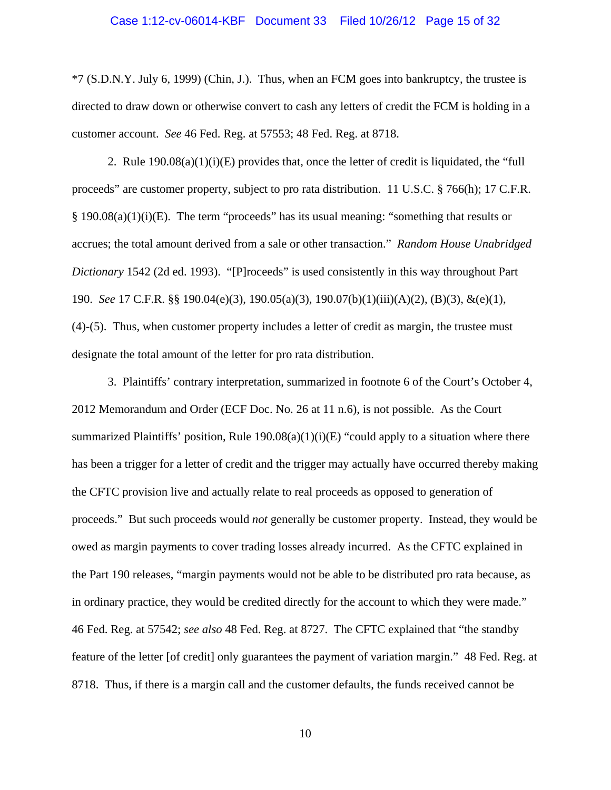### Case 1:12-cv-06014-KBF Document 33 Filed 10/26/12 Page 15 of 32

\*7 (S.D.N.Y. July 6, 1999) (Chin, J.). Thus, when an FCM goes into bankruptcy, the trustee is directed to draw down or otherwise convert to cash any letters of credit the FCM is holding in a customer account. *See* 46 Fed. Reg. at 57553; 48 Fed. Reg. at 8718.

2. Rule  $190.08(a)(1)(i)(E)$  provides that, once the letter of credit is liquidated, the "full proceeds" are customer property, subject to pro rata distribution. 11 U.S.C. § 766(h); 17 C.F.R.  $\S$  190.08(a)(1)(i)(E). The term "proceeds" has its usual meaning: "something that results or accrues; the total amount derived from a sale or other transaction." *Random House Unabridged Dictionary* 1542 (2d ed. 1993). "[P]roceeds" is used consistently in this way throughout Part 190. *See* 17 C.F.R. §§ 190.04(e)(3), 190.05(a)(3), 190.07(b)(1)(iii)(A)(2), (B)(3), &(e)(1), (4)-(5). Thus, when customer property includes a letter of credit as margin, the trustee must designate the total amount of the letter for pro rata distribution.

3. Plaintiffs' contrary interpretation, summarized in footnote 6 of the Court's October 4, 2012 Memorandum and Order (ECF Doc. No. 26 at 11 n.6), is not possible. As the Court summarized Plaintiffs' position, Rule  $190.08(a)(1)(i)(E)$  "could apply to a situation where there has been a trigger for a letter of credit and the trigger may actually have occurred thereby making the CFTC provision live and actually relate to real proceeds as opposed to generation of proceeds." But such proceeds would *not* generally be customer property. Instead, they would be owed as margin payments to cover trading losses already incurred. As the CFTC explained in the Part 190 releases, "margin payments would not be able to be distributed pro rata because, as in ordinary practice, they would be credited directly for the account to which they were made." 46 Fed. Reg. at 57542; *see also* 48 Fed. Reg. at 8727. The CFTC explained that "the standby feature of the letter [of credit] only guarantees the payment of variation margin." 48 Fed. Reg. at 8718. Thus, if there is a margin call and the customer defaults, the funds received cannot be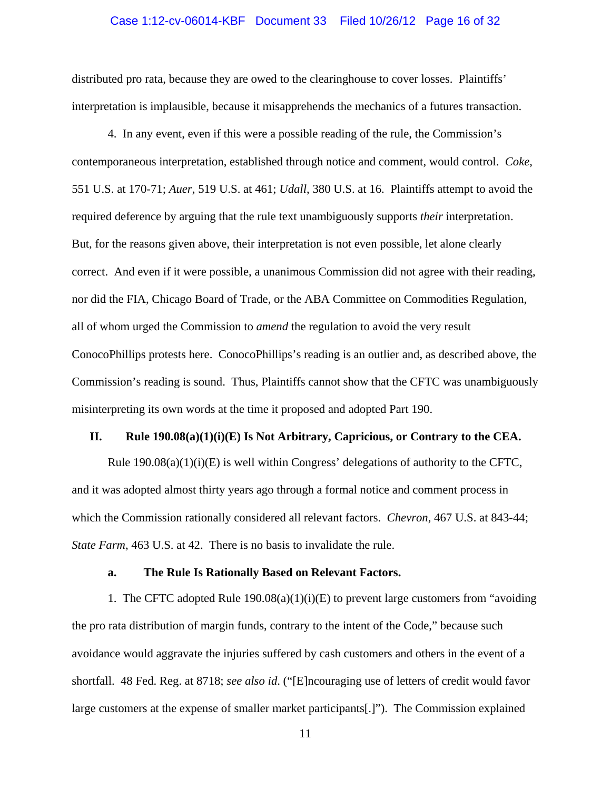### Case 1:12-cv-06014-KBF Document 33 Filed 10/26/12 Page 16 of 32

distributed pro rata, because they are owed to the clearinghouse to cover losses. Plaintiffs' interpretation is implausible, because it misapprehends the mechanics of a futures transaction.

4. In any event, even if this were a possible reading of the rule, the Commission's contemporaneous interpretation, established through notice and comment, would control. *Coke*, 551 U.S. at 170-71; *Auer*, 519 U.S. at 461; *Udall*, 380 U.S. at 16. Plaintiffs attempt to avoid the required deference by arguing that the rule text unambiguously supports *their* interpretation. But, for the reasons given above, their interpretation is not even possible, let alone clearly correct. And even if it were possible, a unanimous Commission did not agree with their reading, nor did the FIA, Chicago Board of Trade, or the ABA Committee on Commodities Regulation, all of whom urged the Commission to *amend* the regulation to avoid the very result ConocoPhillips protests here. ConocoPhillips's reading is an outlier and, as described above, the Commission's reading is sound. Thus, Plaintiffs cannot show that the CFTC was unambiguously misinterpreting its own words at the time it proposed and adopted Part 190.

#### **II. Rule 190.08(a)(1)(i)(E) Is Not Arbitrary, Capricious, or Contrary to the CEA.**

Rule  $190.08(a)(1)(i)$  is well within Congress' delegations of authority to the CFTC, and it was adopted almost thirty years ago through a formal notice and comment process in which the Commission rationally considered all relevant factors. *Chevron*, 467 U.S. at 843-44; *State Farm*, 463 U.S. at 42. There is no basis to invalidate the rule.

### **a. The Rule Is Rationally Based on Relevant Factors.**

1. The CFTC adopted Rule  $190.08(a)(1)(i)(E)$  to prevent large customers from "avoiding" the pro rata distribution of margin funds, contrary to the intent of the Code," because such avoidance would aggravate the injuries suffered by cash customers and others in the event of a shortfall. 48 Fed. Reg. at 8718; *see also id*. ("[E]ncouraging use of letters of credit would favor large customers at the expense of smaller market participants[.]"). The Commission explained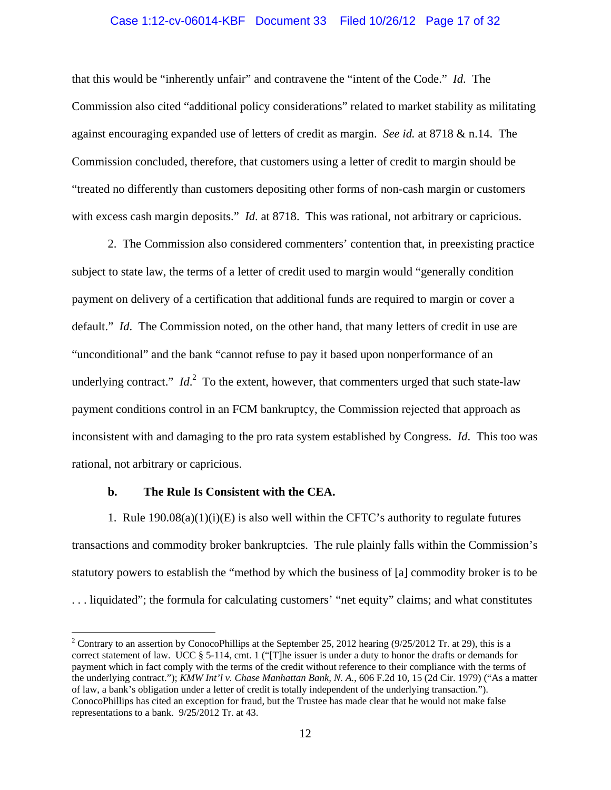# Case 1:12-cv-06014-KBF Document 33 Filed 10/26/12 Page 17 of 32

that this would be "inherently unfair" and contravene the "intent of the Code." *Id*. The Commission also cited "additional policy considerations" related to market stability as militating against encouraging expanded use of letters of credit as margin. *See id.* at 8718 & n.14. The Commission concluded, therefore, that customers using a letter of credit to margin should be "treated no differently than customers depositing other forms of non-cash margin or customers with excess cash margin deposits." *Id.* at 8718. This was rational, not arbitrary or capricious.

 2. The Commission also considered commenters' contention that, in preexisting practice subject to state law, the terms of a letter of credit used to margin would "generally condition payment on delivery of a certification that additional funds are required to margin or cover a default." *Id*. The Commission noted, on the other hand, that many letters of credit in use are "unconditional" and the bank "cannot refuse to pay it based upon nonperformance of an underlying contract."  $Id<sup>2</sup>$  To the extent, however, that commenters urged that such state-law payment conditions control in an FCM bankruptcy, the Commission rejected that approach as inconsistent with and damaging to the pro rata system established by Congress. *Id*. This too was rational, not arbitrary or capricious.

### **b. The Rule Is Consistent with the CEA.**

 $\overline{a}$ 

1. Rule  $190.08(a)(1)(i)(E)$  is also well within the CFTC's authority to regulate futures transactions and commodity broker bankruptcies. The rule plainly falls within the Commission's statutory powers to establish the "method by which the business of [a] commodity broker is to be . . . liquidated"; the formula for calculating customers' "net equity" claims; and what constitutes

<sup>&</sup>lt;sup>2</sup> Contrary to an assertion by ConocoPhillips at the September 25, 2012 hearing (9/25/2012 Tr. at 29), this is a correct statement of law. UCC § 5-114, cmt. 1 ("[T]he issuer is under a duty to honor the drafts or demands for payment which in fact comply with the terms of the credit without reference to their compliance with the terms of the underlying contract."); *KMW Int'l v. Chase Manhattan Bank, N. A.*, 606 F.2d 10, 15 (2d Cir. 1979) ("As a matter of law, a bank's obligation under a letter of credit is totally independent of the underlying transaction."). ConocoPhillips has cited an exception for fraud, but the Trustee has made clear that he would not make false representations to a bank. 9/25/2012 Tr. at 43.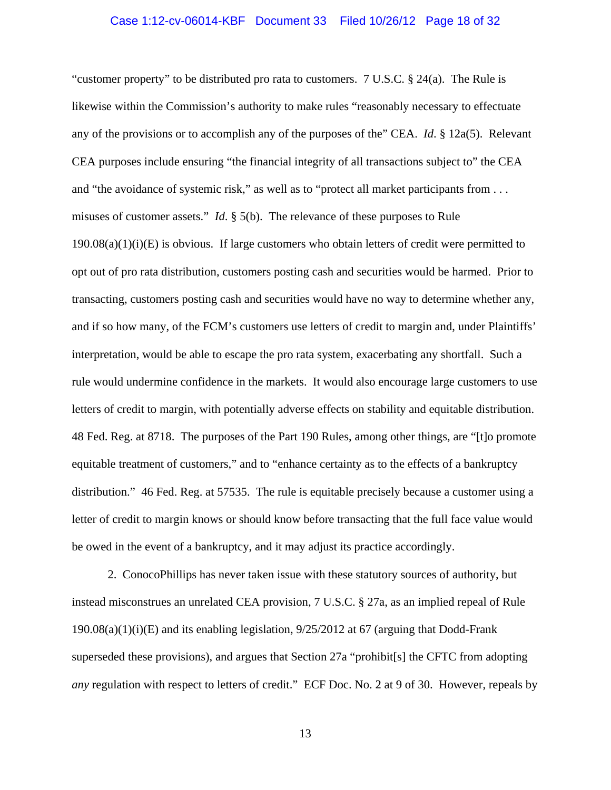### Case 1:12-cv-06014-KBF Document 33 Filed 10/26/12 Page 18 of 32

"customer property" to be distributed pro rata to customers.  $7 \text{ U.S.C.}$  § 24(a). The Rule is likewise within the Commission's authority to make rules "reasonably necessary to effectuate any of the provisions or to accomplish any of the purposes of the" CEA. *Id*. § 12a(5). Relevant CEA purposes include ensuring "the financial integrity of all transactions subject to" the CEA and "the avoidance of systemic risk," as well as to "protect all market participants from . . . misuses of customer assets." *Id*. § 5(b). The relevance of these purposes to Rule  $190.08(a)(1)(i)(E)$  is obvious. If large customers who obtain letters of credit were permitted to opt out of pro rata distribution, customers posting cash and securities would be harmed. Prior to transacting, customers posting cash and securities would have no way to determine whether any, and if so how many, of the FCM's customers use letters of credit to margin and, under Plaintiffs' interpretation, would be able to escape the pro rata system, exacerbating any shortfall. Such a rule would undermine confidence in the markets. It would also encourage large customers to use letters of credit to margin, with potentially adverse effects on stability and equitable distribution. 48 Fed. Reg. at 8718. The purposes of the Part 190 Rules, among other things, are "[t]o promote equitable treatment of customers," and to "enhance certainty as to the effects of a bankruptcy distribution." 46 Fed. Reg. at 57535. The rule is equitable precisely because a customer using a letter of credit to margin knows or should know before transacting that the full face value would be owed in the event of a bankruptcy, and it may adjust its practice accordingly.

2. ConocoPhillips has never taken issue with these statutory sources of authority, but instead misconstrues an unrelated CEA provision, 7 U.S.C. § 27a, as an implied repeal of Rule  $190.08(a)(1)(i)(E)$  and its enabling legislation,  $9/25/2012$  at 67 (arguing that Dodd-Frank superseded these provisions), and argues that Section 27a "prohibit[s] the CFTC from adopting *any* regulation with respect to letters of credit." ECF Doc. No. 2 at 9 of 30. However, repeals by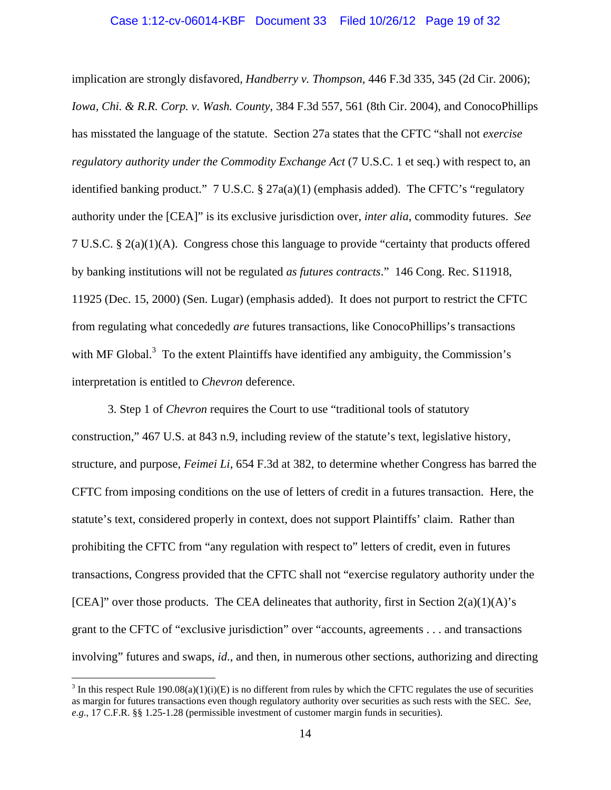### Case 1:12-cv-06014-KBF Document 33 Filed 10/26/12 Page 19 of 32

implication are strongly disfavored, *Handberry v. Thompson*, 446 F.3d 335, 345 (2d Cir. 2006); *Iowa, Chi. & R.R. Corp. v. Wash. County*, 384 F.3d 557, 561 (8th Cir. 2004), and ConocoPhillips has misstated the language of the statute. Section 27a states that the CFTC "shall not *exercise regulatory authority under the Commodity Exchange Act* (7 U.S.C. 1 et seq.) with respect to, an identified banking product." 7 U.S.C. § 27a(a)(1) (emphasis added). The CFTC's "regulatory authority under the [CEA]" is its exclusive jurisdiction over, *inter alia*, commodity futures. *See* 7 U.S.C. § 2(a)(1)(A). Congress chose this language to provide "certainty that products offered by banking institutions will not be regulated *as futures contracts*." 146 Cong. Rec. S11918, 11925 (Dec. 15, 2000) (Sen. Lugar) (emphasis added). It does not purport to restrict the CFTC from regulating what concededly *are* futures transactions, like ConocoPhillips's transactions with MF Global. $3$  To the extent Plaintiffs have identified any ambiguity, the Commission's interpretation is entitled to *Chevron* deference.

3. Step 1 of *Chevron* requires the Court to use "traditional tools of statutory construction," 467 U.S. at 843 n.9, including review of the statute's text, legislative history, structure, and purpose, *Feimei Li*, 654 F.3d at 382, to determine whether Congress has barred the CFTC from imposing conditions on the use of letters of credit in a futures transaction. Here, the statute's text, considered properly in context, does not support Plaintiffs' claim. Rather than prohibiting the CFTC from "any regulation with respect to" letters of credit, even in futures transactions, Congress provided that the CFTC shall not "exercise regulatory authority under the [CEA]" over those products. The CEA delineates that authority, first in Section  $2(a)(1)(A)$ 's grant to the CFTC of "exclusive jurisdiction" over "accounts, agreements . . . and transactions involving" futures and swaps, *id*., and then, in numerous other sections, authorizing and directing

 $\overline{a}$ 

<sup>&</sup>lt;sup>3</sup> In this respect Rule 190.08(a)(1)(i)(E) is no different from rules by which the CFTC regulates the use of securities as margin for futures transactions even though regulatory authority over securities as such rests with the SEC. *See*, *e.g.*, 17 C.F.R. §§ 1.25-1.28 (permissible investment of customer margin funds in securities).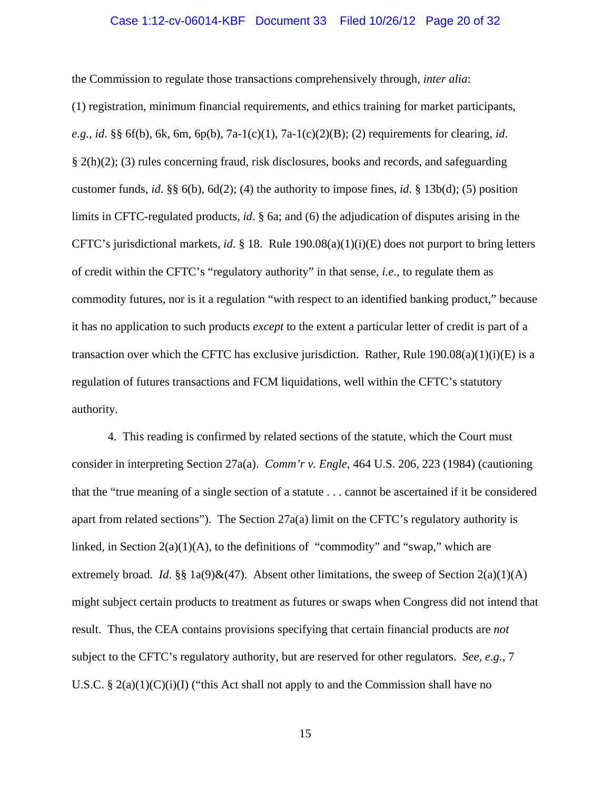### Case 1:12-cv-06014-KBF Document 33 Filed 10/26/12 Page 20 of 32

the Commission to regulate those transactions comprehensively through, *inter alia*:

(1) registration, minimum financial requirements, and ethics training for market participants, *e.g., id*. §§ 6f(b), 6k, 6m, 6p(b), 7a-1(c)(1), 7a-1(c)(2)(B); (2) requirements for clearing, *id*. § 2(h)(2); (3) rules concerning fraud, risk disclosures, books and records, and safeguarding customer funds, *id*. §§ 6(b), 6d(2); (4) the authority to impose fines, *id*. § 13b(d); (5) position limits in CFTC-regulated products, *id*. § 6a; and (6) the adjudication of disputes arising in the CFTC's jurisdictional markets, *id*. § 18. Rule 190.08(a)(1)(i)(E) does not purport to bring letters of credit within the CFTC's "regulatory authority" in that sense, *i.e.*, to regulate them as commodity futures, nor is it a regulation "with respect to an identified banking product," because it has no application to such products *except* to the extent a particular letter of credit is part of a transaction over which the CFTC has exclusive jurisdiction. Rather, Rule  $190.08(a)(1)(i)(E)$  is a regulation of futures transactions and FCM liquidations, well within the CFTC's statutory authority.

4. This reading is confirmed by related sections of the statute, which the Court must consider in interpreting Section 27a(a). *Comm'r v. Engle*, 464 U.S. 206, 223 (1984) (cautioning that the "true meaning of a single section of a statute . . . cannot be ascertained if it be considered apart from related sections"). The Section  $27a(a)$  limit on the CFTC's regulatory authority is linked, in Section  $2(a)(1)(A)$ , to the definitions of "commodity" and "swap," which are extremely broad. *Id.* §§ 1a(9)&(47). Absent other limitations, the sweep of Section  $2(a)(1)(A)$ might subject certain products to treatment as futures or swaps when Congress did not intend that result. Thus, the CEA contains provisions specifying that certain financial products are *not* subject to the CFTC's regulatory authority, but are reserved for other regulators. *See, e.g.*, 7 U.S.C. § 2(a)(1)(C)(i)(I) ("this Act shall not apply to and the Commission shall have no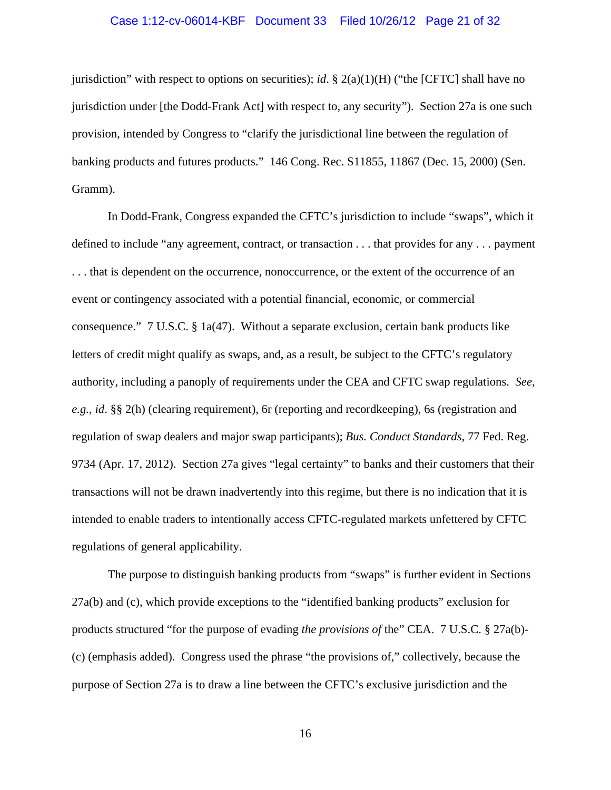### Case 1:12-cv-06014-KBF Document 33 Filed 10/26/12 Page 21 of 32

jurisdiction" with respect to options on securities); *id*. § 2(a)(1)(H) ("the [CFTC] shall have no jurisdiction under [the Dodd-Frank Act] with respect to, any security"). Section 27a is one such provision, intended by Congress to "clarify the jurisdictional line between the regulation of banking products and futures products." 146 Cong. Rec. S11855, 11867 (Dec. 15, 2000) (Sen. Gramm).

In Dodd-Frank, Congress expanded the CFTC's jurisdiction to include "swaps", which it defined to include "any agreement, contract, or transaction . . . that provides for any . . . payment . . . that is dependent on the occurrence, nonoccurrence, or the extent of the occurrence of an event or contingency associated with a potential financial, economic, or commercial consequence."  $7 \text{ U.S.C.} \& 1a(47)$ . Without a separate exclusion, certain bank products like letters of credit might qualify as swaps, and, as a result, be subject to the CFTC's regulatory authority, including a panoply of requirements under the CEA and CFTC swap regulations. *See, e.g.*, *id*. §§ 2(h) (clearing requirement), 6r (reporting and recordkeeping), 6s (registration and regulation of swap dealers and major swap participants); *Bus. Conduct Standards*, 77 Fed. Reg. 9734 (Apr. 17, 2012). Section 27a gives "legal certainty" to banks and their customers that their transactions will not be drawn inadvertently into this regime, but there is no indication that it is intended to enable traders to intentionally access CFTC-regulated markets unfettered by CFTC regulations of general applicability.

The purpose to distinguish banking products from "swaps" is further evident in Sections 27a(b) and (c), which provide exceptions to the "identified banking products" exclusion for products structured "for the purpose of evading *the provisions of* the" CEA. 7 U.S.C. § 27a(b)- (c) (emphasis added). Congress used the phrase "the provisions of," collectively, because the purpose of Section 27a is to draw a line between the CFTC's exclusive jurisdiction and the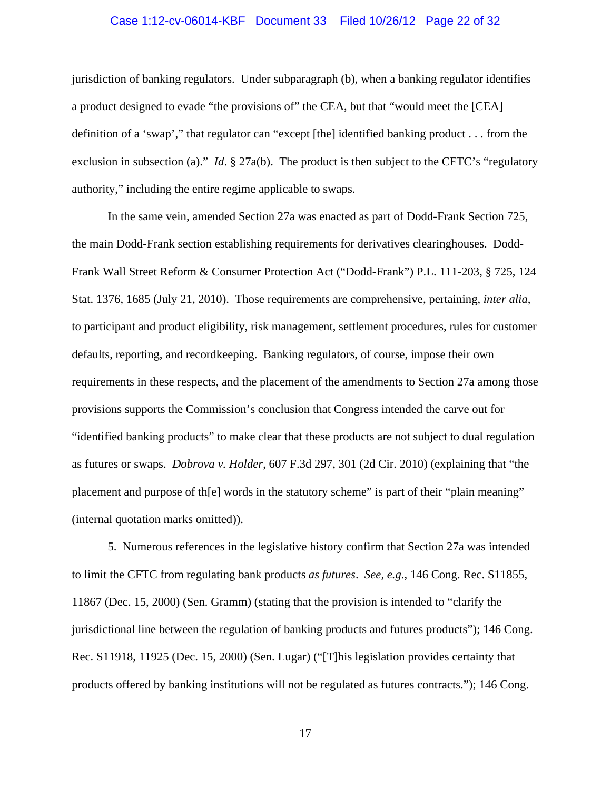#### Case 1:12-cv-06014-KBF Document 33 Filed 10/26/12 Page 22 of 32

jurisdiction of banking regulators. Under subparagraph (b), when a banking regulator identifies a product designed to evade "the provisions of" the CEA, but that "would meet the [CEA] definition of a 'swap'," that regulator can "except [the] identified banking product . . . from the exclusion in subsection (a)." *Id.* § 27a(b). The product is then subject to the CFTC's "regulatory authority," including the entire regime applicable to swaps.

In the same vein, amended Section 27a was enacted as part of Dodd-Frank Section 725, the main Dodd-Frank section establishing requirements for derivatives clearinghouses. Dodd-Frank Wall Street Reform & Consumer Protection Act ("Dodd-Frank") P.L. 111-203, § 725, 124 Stat. 1376, 1685 (July 21, 2010). Those requirements are comprehensive, pertaining, *inter alia*, to participant and product eligibility, risk management, settlement procedures, rules for customer defaults, reporting, and recordkeeping. Banking regulators, of course, impose their own requirements in these respects, and the placement of the amendments to Section 27a among those provisions supports the Commission's conclusion that Congress intended the carve out for "identified banking products" to make clear that these products are not subject to dual regulation as futures or swaps. *Dobrova v. Holder*, 607 F.3d 297, 301 (2d Cir. 2010) (explaining that "the placement and purpose of th[e] words in the statutory scheme" is part of their "plain meaning" (internal quotation marks omitted)).

5. Numerous references in the legislative history confirm that Section 27a was intended to limit the CFTC from regulating bank products *as futures*. *See, e.g.*, 146 Cong. Rec. S11855, 11867 (Dec. 15, 2000) (Sen. Gramm) (stating that the provision is intended to "clarify the jurisdictional line between the regulation of banking products and futures products"); 146 Cong. Rec. S11918, 11925 (Dec. 15, 2000) (Sen. Lugar) ("[T]his legislation provides certainty that products offered by banking institutions will not be regulated as futures contracts."); 146 Cong.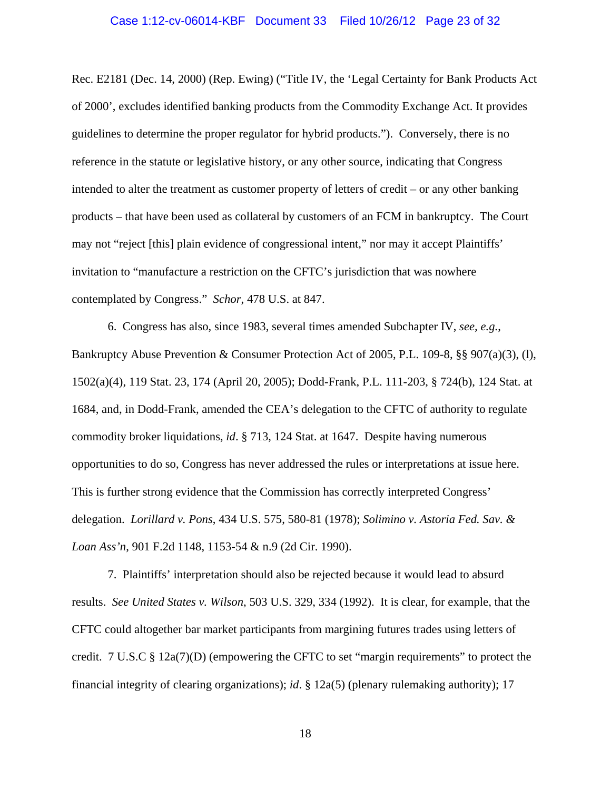### Case 1:12-cv-06014-KBF Document 33 Filed 10/26/12 Page 23 of 32

Rec. E2181 (Dec. 14, 2000) (Rep. Ewing) ("Title IV, the 'Legal Certainty for Bank Products Act of 2000', excludes identified banking products from the Commodity Exchange Act. It provides guidelines to determine the proper regulator for hybrid products."). Conversely, there is no reference in the statute or legislative history, or any other source, indicating that Congress intended to alter the treatment as customer property of letters of credit – or any other banking products – that have been used as collateral by customers of an FCM in bankruptcy. The Court may not "reject [this] plain evidence of congressional intent," nor may it accept Plaintiffs' invitation to "manufacture a restriction on the CFTC's jurisdiction that was nowhere contemplated by Congress." *Schor*, 478 U.S. at 847.

6. Congress has also, since 1983, several times amended Subchapter IV, *see, e.g.*, Bankruptcy Abuse Prevention & Consumer Protection Act of 2005, P.L. 109-8, §§ 907(a)(3), (l), 1502(a)(4), 119 Stat. 23, 174 (April 20, 2005); Dodd-Frank, P.L. 111-203, § 724(b), 124 Stat. at 1684, and, in Dodd-Frank, amended the CEA's delegation to the CFTC of authority to regulate commodity broker liquidations, *id*. § 713, 124 Stat. at 1647. Despite having numerous opportunities to do so, Congress has never addressed the rules or interpretations at issue here. This is further strong evidence that the Commission has correctly interpreted Congress' delegation. *Lorillard v. Pons*, 434 U.S. 575, 580-81 (1978); *Solimino v. Astoria Fed. Sav. & Loan Ass'n*, 901 F.2d 1148, 1153-54 & n.9 (2d Cir. 1990).

7. Plaintiffs' interpretation should also be rejected because it would lead to absurd results. *See United States v. Wilson*, 503 U.S. 329, 334 (1992). It is clear, for example, that the CFTC could altogether bar market participants from margining futures trades using letters of credit. 7 U.S.C § 12a(7)(D) (empowering the CFTC to set "margin requirements" to protect the financial integrity of clearing organizations); *id*. § 12a(5) (plenary rulemaking authority); 17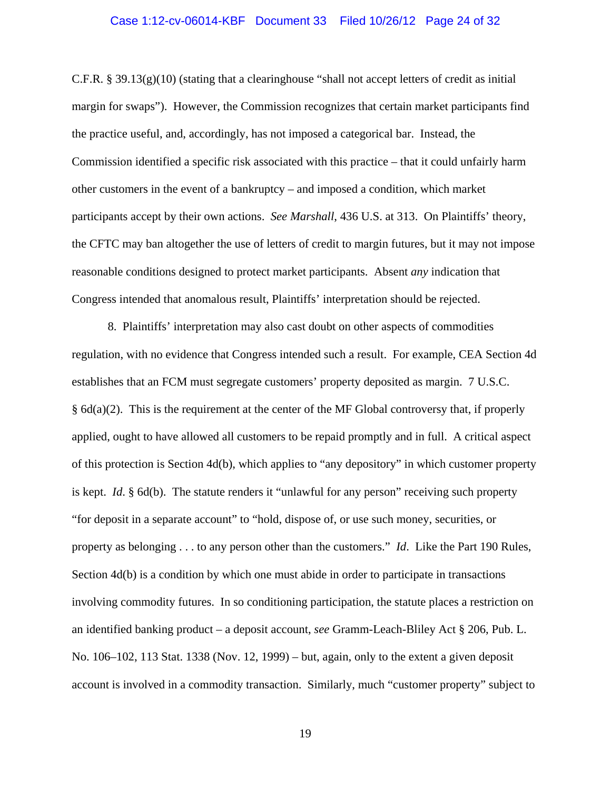### Case 1:12-cv-06014-KBF Document 33 Filed 10/26/12 Page 24 of 32

C.F.R. § 39.13(g)(10) (stating that a clearinghouse "shall not accept letters of credit as initial margin for swaps"). However, the Commission recognizes that certain market participants find the practice useful, and, accordingly, has not imposed a categorical bar. Instead, the Commission identified a specific risk associated with this practice – that it could unfairly harm other customers in the event of a bankruptcy – and imposed a condition, which market participants accept by their own actions. *See Marshall*, 436 U.S. at 313. On Plaintiffs' theory, the CFTC may ban altogether the use of letters of credit to margin futures, but it may not impose reasonable conditions designed to protect market participants. Absent *any* indication that Congress intended that anomalous result, Plaintiffs' interpretation should be rejected.

8. Plaintiffs' interpretation may also cast doubt on other aspects of commodities regulation, with no evidence that Congress intended such a result. For example, CEA Section 4d establishes that an FCM must segregate customers' property deposited as margin. 7 U.S.C. § 6d(a)(2). This is the requirement at the center of the MF Global controversy that, if properly applied, ought to have allowed all customers to be repaid promptly and in full. A critical aspect of this protection is Section 4d(b), which applies to "any depository" in which customer property is kept. *Id*. § 6d(b). The statute renders it "unlawful for any person" receiving such property "for deposit in a separate account" to "hold, dispose of, or use such money, securities, or property as belonging . . . to any person other than the customers." *Id*. Like the Part 190 Rules, Section 4d(b) is a condition by which one must abide in order to participate in transactions involving commodity futures. In so conditioning participation, the statute places a restriction on an identified banking product – a deposit account, *see* Gramm-Leach-Bliley Act § 206, Pub. L. No. 106–102, 113 Stat. 1338 (Nov. 12, 1999) – but, again, only to the extent a given deposit account is involved in a commodity transaction. Similarly, much "customer property" subject to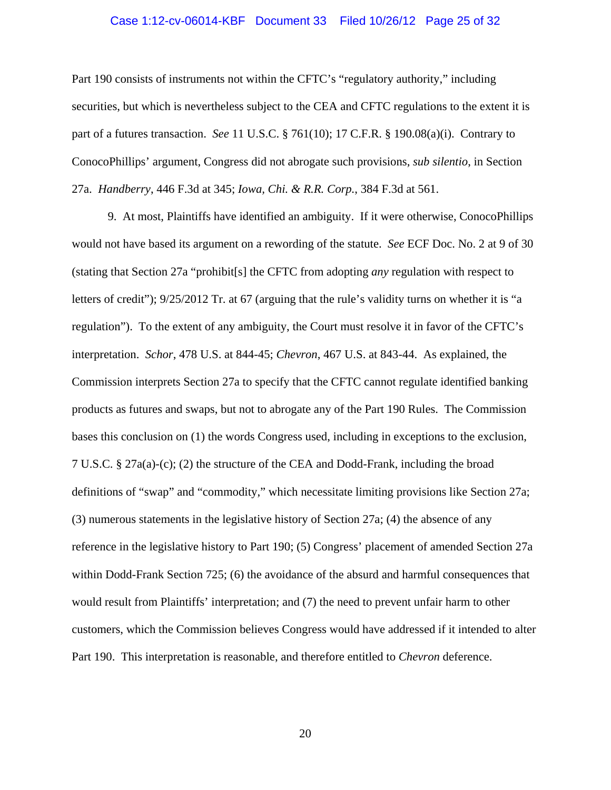### Case 1:12-cv-06014-KBF Document 33 Filed 10/26/12 Page 25 of 32

Part 190 consists of instruments not within the CFTC's "regulatory authority," including securities, but which is nevertheless subject to the CEA and CFTC regulations to the extent it is part of a futures transaction. *See* 11 U.S.C. § 761(10); 17 C.F.R. § 190.08(a)(i). Contrary to ConocoPhillips' argument, Congress did not abrogate such provisions, *sub silentio*, in Section 27a. *Handberry*, 446 F.3d at 345; *Iowa, Chi. & R.R. Corp.*, 384 F.3d at 561.

9. At most, Plaintiffs have identified an ambiguity. If it were otherwise, ConocoPhillips would not have based its argument on a rewording of the statute. *See* ECF Doc. No. 2 at 9 of 30 (stating that Section 27a "prohibit[s] the CFTC from adopting *any* regulation with respect to letters of credit"); 9/25/2012 Tr. at 67 (arguing that the rule's validity turns on whether it is "a regulation").To the extent of any ambiguity, the Court must resolve it in favor of the CFTC's interpretation. *Schor*, 478 U.S. at 844-45; *Chevron*, 467 U.S. at 843-44. As explained, the Commission interprets Section 27a to specify that the CFTC cannot regulate identified banking products as futures and swaps, but not to abrogate any of the Part 190 Rules. The Commission bases this conclusion on (1) the words Congress used, including in exceptions to the exclusion, 7 U.S.C. § 27a(a)-(c); (2) the structure of the CEA and Dodd-Frank, including the broad definitions of "swap" and "commodity," which necessitate limiting provisions like Section 27a; (3) numerous statements in the legislative history of Section 27a; (4) the absence of any reference in the legislative history to Part 190; (5) Congress' placement of amended Section 27a within Dodd-Frank Section 725; (6) the avoidance of the absurd and harmful consequences that would result from Plaintiffs' interpretation; and (7) the need to prevent unfair harm to other customers, which the Commission believes Congress would have addressed if it intended to alter Part 190. This interpretation is reasonable, and therefore entitled to *Chevron* deference.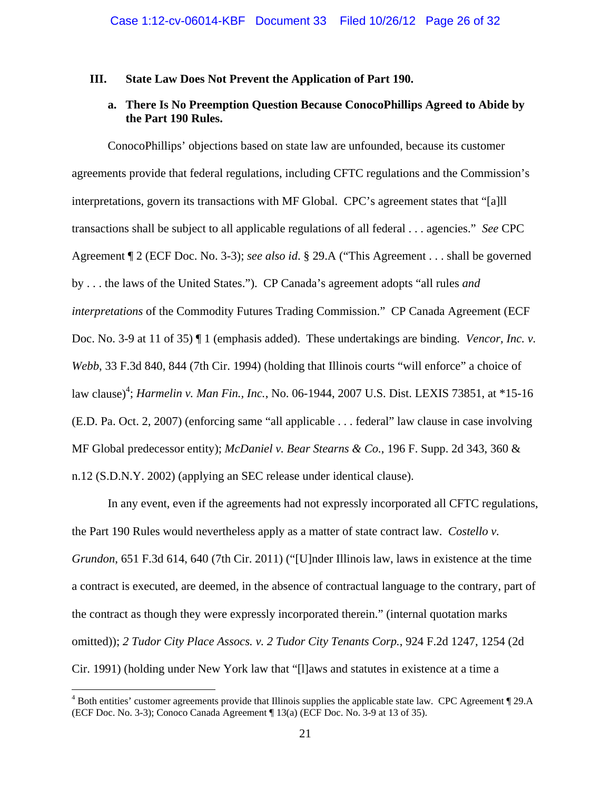### **III. State Law Does Not Prevent the Application of Part 190.**

### **a. There Is No Preemption Question Because ConocoPhillips Agreed to Abide by the Part 190 Rules.**

ConocoPhillips' objections based on state law are unfounded, because its customer agreements provide that federal regulations, including CFTC regulations and the Commission's interpretations, govern its transactions with MF Global. CPC's agreement states that "[a]ll transactions shall be subject to all applicable regulations of all federal . . . agencies." *See* CPC Agreement ¶ 2 (ECF Doc. No. 3-3); *see also id*. § 29.A ("This Agreement . . . shall be governed by . . . the laws of the United States."). CP Canada's agreement adopts "all rules *and interpretations* of the Commodity Futures Trading Commission." CP Canada Agreement (ECF Doc. No. 3-9 at 11 of 35) ¶ 1 (emphasis added). These undertakings are binding. *Vencor, Inc. v. Webb*, 33 F.3d 840, 844 (7th Cir. 1994) (holding that Illinois courts "will enforce" a choice of law clause)<sup>4</sup>; *Harmelin v. Man Fin., Inc.*, No. 06-1944, 2007 U.S. Dist. LEXIS 73851, at \*15-16 (E.D. Pa. Oct. 2, 2007) (enforcing same "all applicable . . . federal" law clause in case involving MF Global predecessor entity); *McDaniel v. Bear Stearns & Co.*, 196 F. Supp. 2d 343, 360 & n.12 (S.D.N.Y. 2002) (applying an SEC release under identical clause).

In any event, even if the agreements had not expressly incorporated all CFTC regulations, the Part 190 Rules would nevertheless apply as a matter of state contract law. *Costello v. Grundon*, 651 F.3d 614, 640 (7th Cir. 2011) ("[U]nder Illinois law, laws in existence at the time a contract is executed, are deemed, in the absence of contractual language to the contrary, part of the contract as though they were expressly incorporated therein." (internal quotation marks omitted)); *2 Tudor City Place Assocs. v. 2 Tudor City Tenants Corp.*, 924 F.2d 1247, 1254 (2d Cir. 1991) (holding under New York law that "[l]aws and statutes in existence at a time a

 $\overline{a}$ 

<sup>&</sup>lt;sup>4</sup> Both entities' customer agreements provide that Illinois supplies the applicable state law. CPC Agreement 129.A (ECF Doc. No. 3-3); Conoco Canada Agreement ¶ 13(a) (ECF Doc. No. 3-9 at 13 of 35).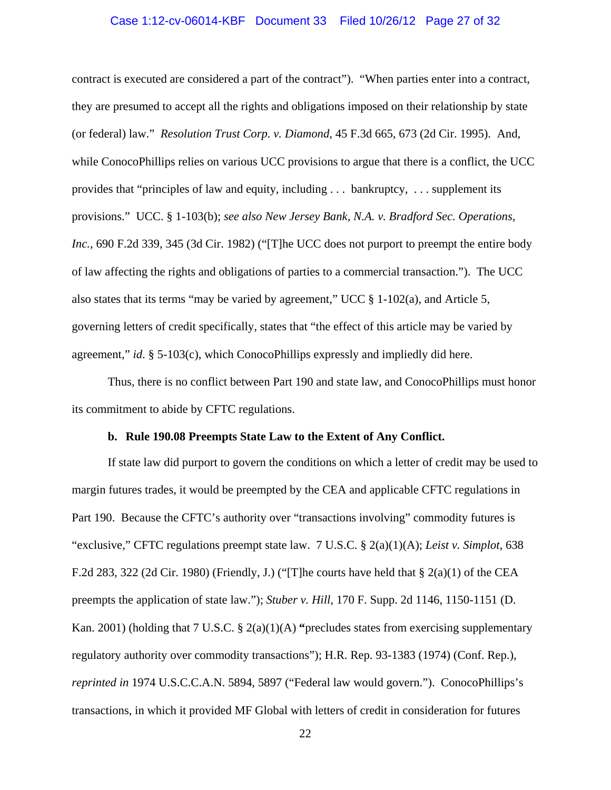### Case 1:12-cv-06014-KBF Document 33 Filed 10/26/12 Page 27 of 32

contract is executed are considered a part of the contract"). "When parties enter into a contract, they are presumed to accept all the rights and obligations imposed on their relationship by state (or federal) law." *Resolution Trust Corp. v. Diamond*, 45 F.3d 665, 673 (2d Cir. 1995). And, while ConocoPhillips relies on various UCC provisions to argue that there is a conflict, the UCC provides that "principles of law and equity, including . . . bankruptcy, . . . supplement its provisions." UCC. § 1-103(b); *see also New Jersey Bank, N.A. v. Bradford Sec. Operations, Inc.*, 690 F.2d 339, 345 (3d Cir. 1982) ("[T]he UCC does not purport to preempt the entire body of law affecting the rights and obligations of parties to a commercial transaction."). The UCC also states that its terms "may be varied by agreement," UCC § 1-102(a), and Article 5, governing letters of credit specifically, states that "the effect of this article may be varied by agreement," *id*. § 5-103(c), which ConocoPhillips expressly and impliedly did here.

Thus, there is no conflict between Part 190 and state law, and ConocoPhillips must honor its commitment to abide by CFTC regulations.

### **b. Rule 190.08 Preempts State Law to the Extent of Any Conflict.**

 If state law did purport to govern the conditions on which a letter of credit may be used to margin futures trades, it would be preempted by the CEA and applicable CFTC regulations in Part 190. Because the CFTC's authority over "transactions involving" commodity futures is "exclusive," CFTC regulations preempt state law. 7 U.S.C. § 2(a)(1)(A); *Leist v. Simplot*, 638 F.2d 283, 322 (2d Cir. 1980) (Friendly, J.) ("[T]he courts have held that  $\S$  2(a)(1) of the CEA preempts the application of state law."); *Stuber v. Hill*, 170 F. Supp. 2d 1146, 1150-1151 (D. Kan. 2001) (holding that 7 U.S.C. § 2(a)(1)(A) **"**precludes states from exercising supplementary regulatory authority over commodity transactions"); H.R. Rep. 93-1383 (1974) (Conf. Rep.), *reprinted in* 1974 U.S.C.C.A.N. 5894, 5897 ("Federal law would govern."). ConocoPhillips's transactions, in which it provided MF Global with letters of credit in consideration for futures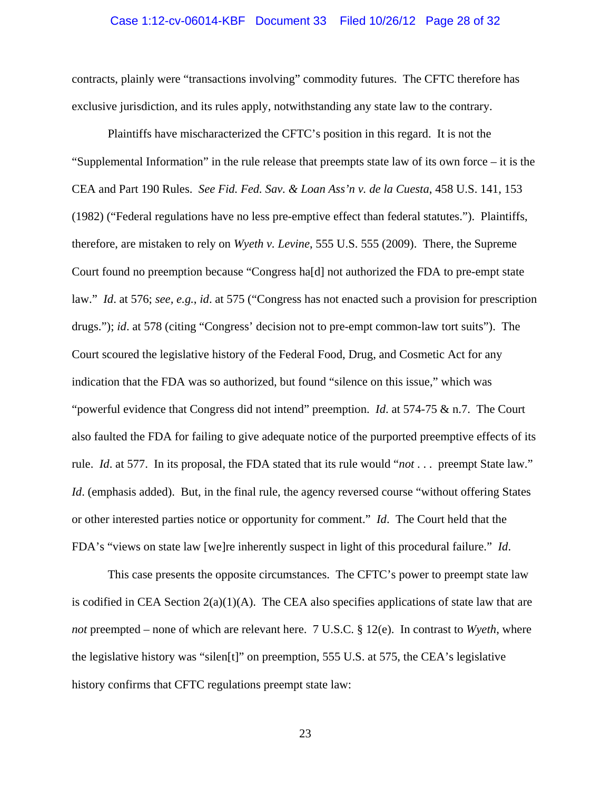### Case 1:12-cv-06014-KBF Document 33 Filed 10/26/12 Page 28 of 32

contracts, plainly were "transactions involving" commodity futures. The CFTC therefore has exclusive jurisdiction, and its rules apply, notwithstanding any state law to the contrary.

 Plaintiffs have mischaracterized the CFTC's position in this regard. It is not the "Supplemental Information" in the rule release that preempts state law of its own force – it is the CEA and Part 190 Rules. *See Fid. Fed. Sav. & Loan Ass'n v. de la Cuesta*, 458 U.S. 141, 153 (1982) ("Federal regulations have no less pre-emptive effect than federal statutes."). Plaintiffs, therefore, are mistaken to rely on *Wyeth v. Levine*, 555 U.S. 555 (2009). There, the Supreme Court found no preemption because "Congress ha[d] not authorized the FDA to pre-empt state law." *Id*. at 576; *see, e.g.*, *id*. at 575 ("Congress has not enacted such a provision for prescription drugs."); *id*. at 578 (citing "Congress' decision not to pre-empt common-law tort suits"). The Court scoured the legislative history of the Federal Food, Drug, and Cosmetic Act for any indication that the FDA was so authorized, but found "silence on this issue," which was "powerful evidence that Congress did not intend" preemption. *Id*. at 574-75 & n.7. The Court also faulted the FDA for failing to give adequate notice of the purported preemptive effects of its rule. *Id*. at 577. In its proposal, the FDA stated that its rule would "*not* . . . preempt State law." *Id.* (emphasis added). But, in the final rule, the agency reversed course "without offering States" or other interested parties notice or opportunity for comment." *Id*. The Court held that the FDA's "views on state law [we]re inherently suspect in light of this procedural failure." *Id*.

This case presents the opposite circumstances. The CFTC's power to preempt state law is codified in CEA Section  $2(a)(1)(A)$ . The CEA also specifies applications of state law that are *not* preempted – none of which are relevant here. 7 U.S.C. § 12(e). In contrast to *Wyeth*, where the legislative history was "silen[t]" on preemption, 555 U.S. at 575, the CEA's legislative history confirms that CFTC regulations preempt state law: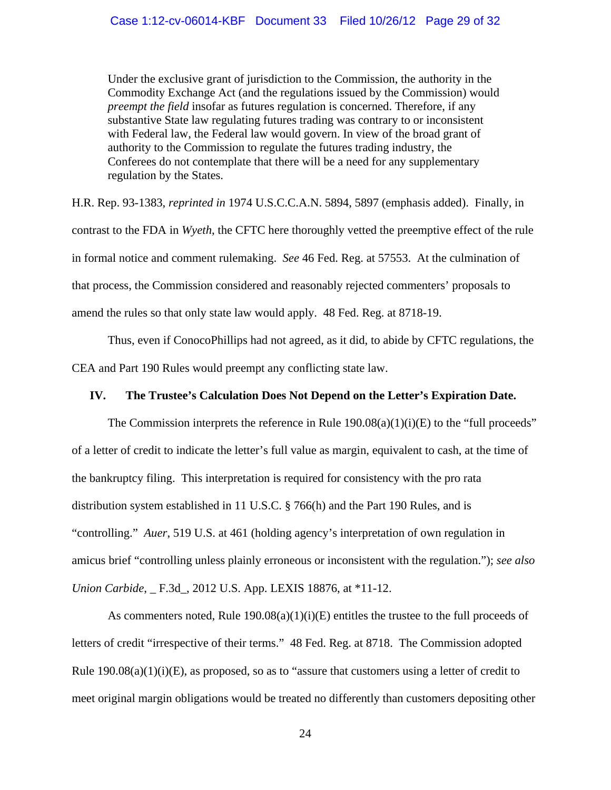Under the exclusive grant of jurisdiction to the Commission, the authority in the Commodity Exchange Act (and the regulations issued by the Commission) would *preempt the field* insofar as futures regulation is concerned. Therefore, if any substantive State law regulating futures trading was contrary to or inconsistent with Federal law, the Federal law would govern. In view of the broad grant of authority to the Commission to regulate the futures trading industry, the Conferees do not contemplate that there will be a need for any supplementary regulation by the States.

H.R. Rep. 93-1383, *reprinted in* 1974 U.S.C.C.A.N. 5894, 5897 (emphasis added). Finally, in contrast to the FDA in *Wyeth*, the CFTC here thoroughly vetted the preemptive effect of the rule in formal notice and comment rulemaking. *See* 46 Fed. Reg. at 57553. At the culmination of that process, the Commission considered and reasonably rejected commenters' proposals to amend the rules so that only state law would apply. 48 Fed. Reg. at 8718-19.

 Thus, even if ConocoPhillips had not agreed, as it did, to abide by CFTC regulations, the CEA and Part 190 Rules would preempt any conflicting state law.

### **IV. The Trustee's Calculation Does Not Depend on the Letter's Expiration Date.**

The Commission interprets the reference in Rule  $190.08(a)(1)(i)(E)$  to the "full proceeds" of a letter of credit to indicate the letter's full value as margin, equivalent to cash, at the time of the bankruptcy filing. This interpretation is required for consistency with the pro rata distribution system established in 11 U.S.C. § 766(h) and the Part 190 Rules, and is "controlling." *Auer*, 519 U.S. at 461 (holding agency's interpretation of own regulation in amicus brief "controlling unless plainly erroneous or inconsistent with the regulation."); *see also Union Carbide*, \_ F.3d\_, 2012 U.S. App. LEXIS 18876, at \*11-12.

As commenters noted, Rule  $190.08(a)(1)(i)(E)$  entitles the trustee to the full proceeds of letters of credit "irrespective of their terms." 48 Fed. Reg. at 8718. The Commission adopted Rule  $190.08(a)(1)(i)(E)$ , as proposed, so as to "assure that customers using a letter of credit to meet original margin obligations would be treated no differently than customers depositing other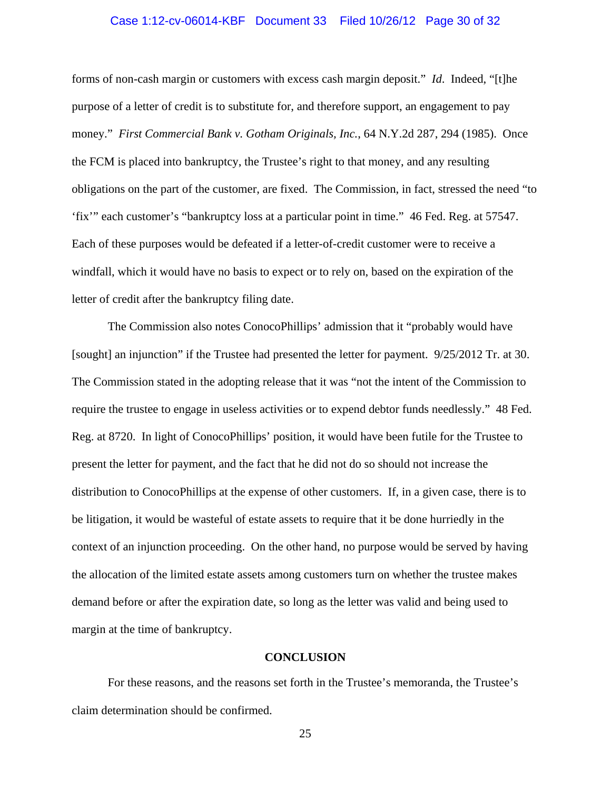### Case 1:12-cv-06014-KBF Document 33 Filed 10/26/12 Page 30 of 32

forms of non-cash margin or customers with excess cash margin deposit." *Id*. Indeed, "[t]he purpose of a letter of credit is to substitute for, and therefore support, an engagement to pay money." *First Commercial Bank v. Gotham Originals, Inc.*, 64 N.Y.2d 287, 294 (1985). Once the FCM is placed into bankruptcy, the Trustee's right to that money, and any resulting obligations on the part of the customer, are fixed. The Commission, in fact, stressed the need "to 'fix'" each customer's "bankruptcy loss at a particular point in time." 46 Fed. Reg. at 57547. Each of these purposes would be defeated if a letter-of-credit customer were to receive a windfall, which it would have no basis to expect or to rely on, based on the expiration of the letter of credit after the bankruptcy filing date.

The Commission also notes ConocoPhillips' admission that it "probably would have [sought] an injunction" if the Trustee had presented the letter for payment. 9/25/2012 Tr. at 30. The Commission stated in the adopting release that it was "not the intent of the Commission to require the trustee to engage in useless activities or to expend debtor funds needlessly." 48 Fed. Reg. at 8720. In light of ConocoPhillips' position, it would have been futile for the Trustee to present the letter for payment, and the fact that he did not do so should not increase the distribution to ConocoPhillips at the expense of other customers. If, in a given case, there is to be litigation, it would be wasteful of estate assets to require that it be done hurriedly in the context of an injunction proceeding. On the other hand, no purpose would be served by having the allocation of the limited estate assets among customers turn on whether the trustee makes demand before or after the expiration date, so long as the letter was valid and being used to margin at the time of bankruptcy.

### **CONCLUSION**

 For these reasons, and the reasons set forth in the Trustee's memoranda, the Trustee's claim determination should be confirmed.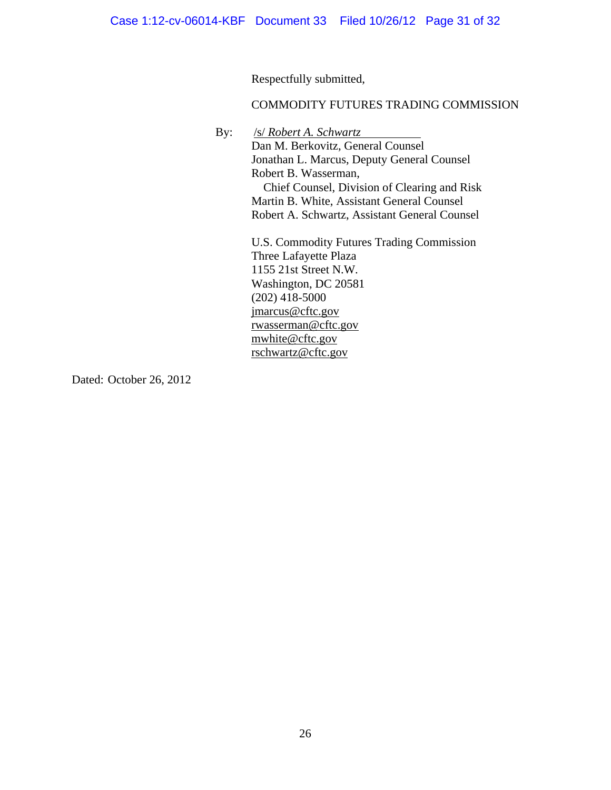Respectfully submitted,

### COMMODITY FUTURES TRADING COMMISSION

By: /s/ *Robert A. Schwartz*

Dan M. Berkovitz, General Counsel Jonathan L. Marcus, Deputy General Counsel Robert B. Wasserman, Chief Counsel, Division of Clearing and Risk Martin B. White, Assistant General Counsel Robert A. Schwartz, Assistant General Counsel

U.S. Commodity Futures Trading Commission Three Lafayette Plaza 1155 21st Street N.W. Washington, DC 20581  $(202)$  418-5000 jmarcus@cftc.gov rwasserman@cftc.gov mwhite@cftc.gov rschwartz@cftc.gov

Dated: October 26, 2012